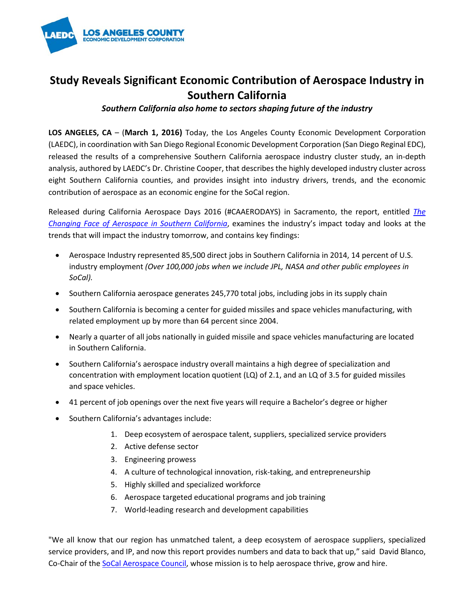

## **Study Reveals Significant Economic Contribution of Aerospace Industry in Southern California**

*Southern California also home to sectors shaping future of the industry*

**LOS ANGELES, CA** – (**March 1, 2016)** Today, the Los Angeles County Economic Development Corporation (LAEDC), in coordination with San Diego Regional Economic Development Corporation (San Diego Reginal EDC), released the results of a comprehensive Southern California aerospace industry cluster study, an in-depth analysis, authored by LAEDC's Dr. Christine Cooper, that describes the highly developed industry cluster across eight Southern California counties, and provides insight into industry drivers, trends, and the economic contribution of aerospace as an economic engine for the SoCal region.

Released during California Aerospace Days 2016 (#CAAERODAYS) in Sacramento, the report, entitled *[The](http://laedc.org/2016/03/01/laedc-release-socal-aerospace-industry-cluster-report/)  [Changing Face of Aerospace in Southern California](http://laedc.org/2016/03/01/laedc-release-socal-aerospace-industry-cluster-report/)*, examines the industry's impact today and looks at the trends that will impact the industry tomorrow, and contains key findings:

- Aerospace Industry represented 85,500 direct jobs in Southern California in 2014, 14 percent of U.S. industry employment *(Over 100,000 jobs when we include JPL, NASA and other public employees in SoCal).*
- Southern California aerospace generates 245,770 total jobs, including jobs in its supply chain
- Southern California is becoming a center for guided missiles and space vehicles manufacturing, with related employment up by more than 64 percent since 2004.
- Nearly a quarter of all jobs nationally in guided missile and space vehicles manufacturing are located in Southern California.
- Southern California's aerospace industry overall maintains a high degree of specialization and concentration with employment location quotient (LQ) of 2.1, and an LQ of 3.5 for guided missiles and space vehicles.
- 41 percent of job openings over the next five years will require a Bachelor's degree or higher
- Southern California's advantages include:
	- 1. Deep ecosystem of aerospace talent, suppliers, specialized service providers
	- 2. Active defense sector
	- 3. Engineering prowess
	- 4. A culture of technological innovation, risk-taking, and entrepreneurship
	- 5. Highly skilled and specialized workforce
	- 6. Aerospace targeted educational programs and job training
	- 7. World-leading research and development capabilities

"We all know that our region has unmatched talent, a deep ecosystem of aerospace suppliers, specialized service providers, and IP, and now this report provides numbers and data to back that up," said David Blanco, Co-Chair of the [SoCal Aerospace Council,](http://laedc.org/our-services/socal-aerospace-council/) whose mission is to help aerospace thrive, grow and hire.